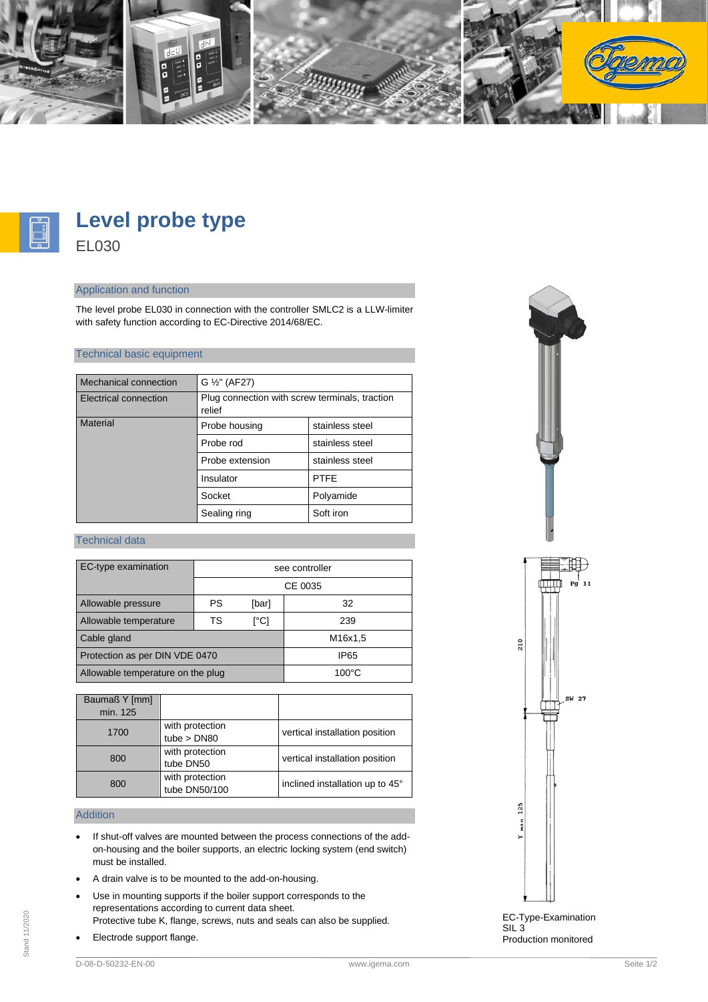



# **Level probe type**

EL030

#### Application and function

The level probe EL030 in connection with the controller SMLC2 is a LLW-limiter with safety function according to EC-Directive 2014/68/EC.

#### Technical basic equipment

| Mechanical connection | G 1/2" (AF27)                                            |                 |  |  |
|-----------------------|----------------------------------------------------------|-----------------|--|--|
| Electrical connection | Plug connection with screw terminals, traction<br>relief |                 |  |  |
| Material              | Probe housing                                            | stainless steel |  |  |
|                       | Probe rod                                                | stainless steel |  |  |
|                       | Probe extension                                          | stainless steel |  |  |
|                       | Insulator                                                | <b>PTFE</b>     |  |  |
|                       | Socket                                                   | Polyamide       |  |  |
|                       | Sealing ring                                             | Soft iron       |  |  |

## Technical data

| EC-type examination               | see controller  |       |     |  |  |
|-----------------------------------|-----------------|-------|-----|--|--|
|                                   | CE 0035         |       |     |  |  |
| Allowable pressure                | PS              | [bar] | 32  |  |  |
| Allowable temperature             | TS              | [°C]  | 239 |  |  |
| Cable gland                       | M16x1,5         |       |     |  |  |
| Protection as per DIN VDE 0470    | <b>IP65</b>     |       |     |  |  |
| Allowable temperature on the plug | $100^{\circ}$ C |       |     |  |  |

| Baumaß Y [mm] |                 |                                 |  |  |
|---------------|-----------------|---------------------------------|--|--|
| min. 125      |                 |                                 |  |  |
| 1700          | with protection |                                 |  |  |
|               | tube > DN80     | vertical installation position  |  |  |
| 800           | with protection | vertical installation position  |  |  |
|               | tube DN50       |                                 |  |  |
| 800           | with protection | inclined installation up to 45° |  |  |
|               | tube DN50/100   |                                 |  |  |

### Addition

- If shut-off valves are mounted between the process connections of the addon-housing and the boiler supports, an electric locking system (end switch) must be installed.
- A drain valve is to be mounted to the add-on-housing.
- Use in mounting supports if the boiler support corresponds to the representations according to current data sheet. Protective tube K, flange, screws, nuts and seals can also be supplied.
	-
- Electrode support flange.



SIL<sub>3</sub> Production monitored